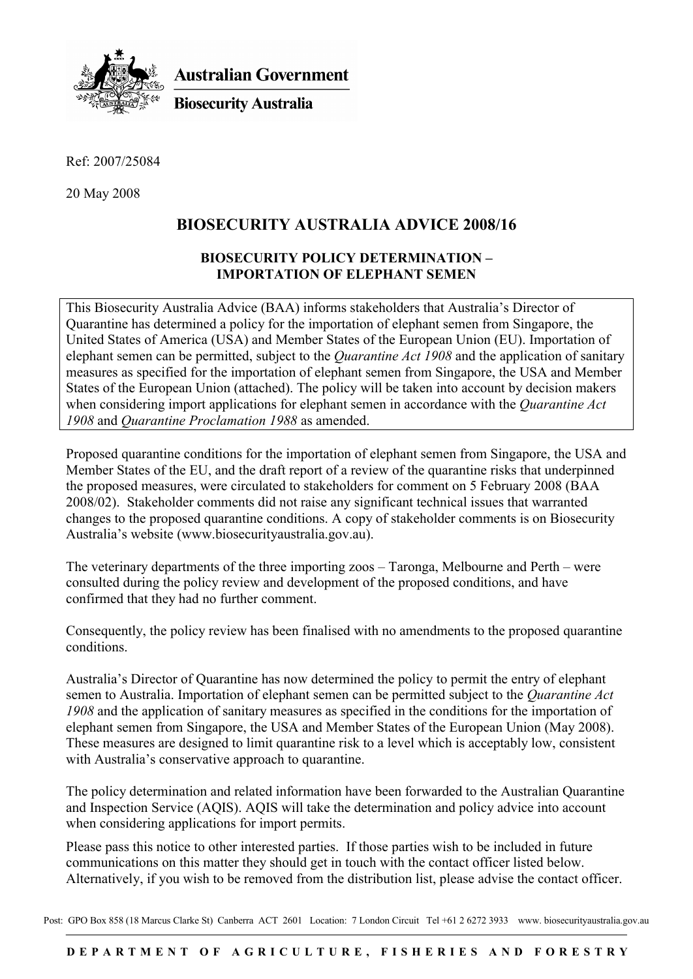

**Australian Government** 

**Biosecurity Australia** 

Ref: 2007/25084

20 May 2008

# **BIOSECURITY AUSTRALIA ADVICE 2008/16**

## **BIOSECURITY POLICY DETERMINATION – IMPORTATION OF ELEPHANT SEMEN**

This Biosecurity Australia Advice (BAA) informs stakeholders that Australia's Director of Quarantine has determined a policy for the importation of elephant semen from Singapore, the United States of America (USA) and Member States of the European Union (EU). Importation of elephant semen can be permitted, subject to the *Quarantine Act 1908* and the application of sanitary measures as specified for the importation of elephant semen from Singapore, the USA and Member States of the European Union (attached). The policy will be taken into account by decision makers when considering import applications for elephant semen in accordance with the *Quarantine Act 1908* and *Quarantine Proclamation 1988* as amended.

Proposed quarantine conditions for the importation of elephant semen from Singapore, the USA and Member States of the EU, and the draft report of a review of the quarantine risks that underpinned the proposed measures, were circulated to stakeholders for comment on 5 February 2008 (BAA 2008/02). Stakeholder comments did not raise any significant technical issues that warranted changes to the proposed quarantine conditions. A copy of stakeholder comments is on Biosecurity Australia's website (www.biosecurityaustralia.gov.au).

The veterinary departments of the three importing zoos – Taronga, Melbourne and Perth – were consulted during the policy review and development of the proposed conditions, and have confirmed that they had no further comment.

Consequently, the policy review has been finalised with no amendments to the proposed quarantine conditions.

Australia's Director of Quarantine has now determined the policy to permit the entry of elephant semen to Australia. Importation of elephant semen can be permitted subject to the *Quarantine Act 1908* and the application of sanitary measures as specified in the conditions for the importation of elephant semen from Singapore, the USA and Member States of the European Union (May 2008). These measures are designed to limit quarantine risk to a level which is acceptably low, consistent with Australia's conservative approach to quarantine.

The policy determination and related information have been forwarded to the Australian Quarantine and Inspection Service (AQIS). AQIS will take the determination and policy advice into account when considering applications for import permits.

Please pass this notice to other interested parties. If those parties wish to be included in future communications on this matter they should get in touch with the contact officer listed below. Alternatively, if you wish to be removed from the distribution list, please advise the contact officer.

Post: GPO Box 858 (18 Marcus Clarke St) Canberra ACT 2601 Location: 7 London Circuit Tel +61 2 6272 3933 www. biosecurityaustralia.gov.au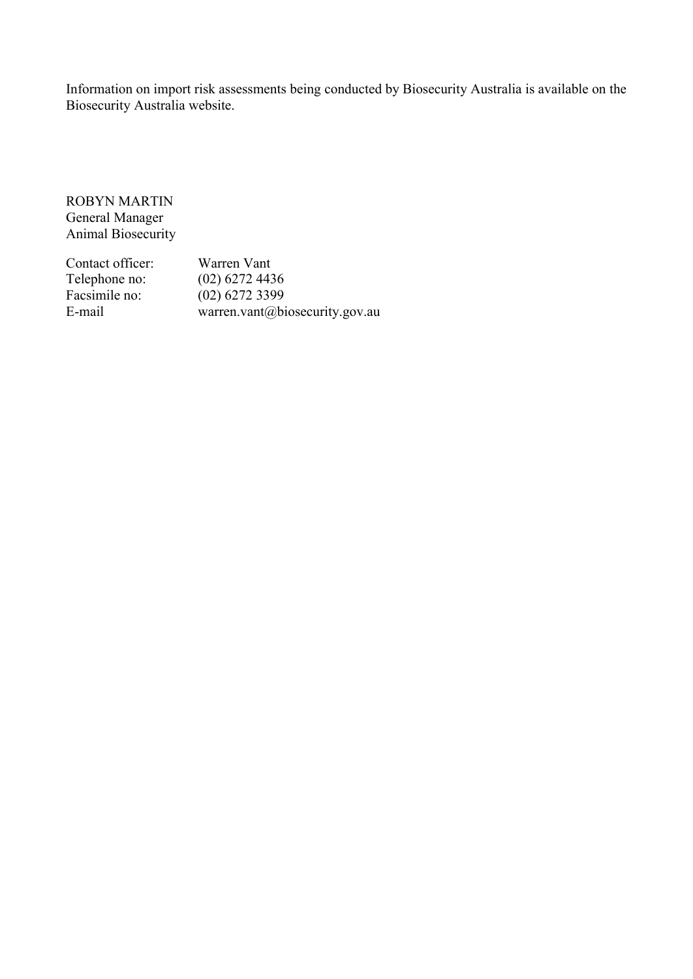Information on import risk assessments being conducted by Biosecurity Australia is available on the Biosecurity Australia website.

ROBYN MARTIN General Manager Animal Biosecurity

| Contact officer: | Warren Vant                    |
|------------------|--------------------------------|
| Telephone no:    | $(02)$ 6272 4436               |
| Facsimile no:    | $(02)$ 6272 3399               |
| E-mail           | warren.vant@biosecurity.gov.au |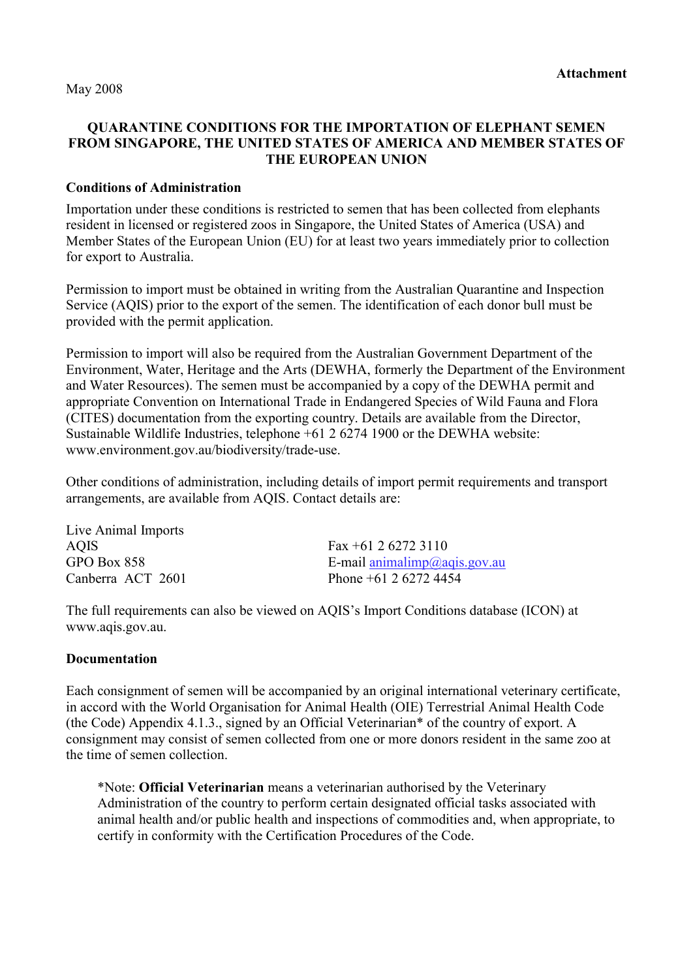May 2008

### **QUARANTINE CONDITIONS FOR THE IMPORTATION OF ELEPHANT SEMEN FROM SINGAPORE, THE UNITED STATES OF AMERICA AND MEMBER STATES OF THE EUROPEAN UNION**

### **Conditions of Administration**

Importation under these conditions is restricted to semen that has been collected from elephants resident in licensed or registered zoos in Singapore, the United States of America (USA) and Member States of the European Union (EU) for at least two years immediately prior to collection for export to Australia.

Permission to import must be obtained in writing from the Australian Quarantine and Inspection Service (AQIS) prior to the export of the semen. The identification of each donor bull must be provided with the permit application.

Permission to import will also be required from the Australian Government Department of the Environment, Water, Heritage and the Arts (DEWHA, formerly the Department of the Environment and Water Resources). The semen must be accompanied by a copy of the DEWHA permit and appropriate Convention on International Trade in Endangered Species of Wild Fauna and Flora (CITES) documentation from the exporting country. Details are available from the Director, Sustainable Wildlife Industries, telephone +61 2 6274 1900 or the DEWHA website: www.environment.gov.au/biodiversity/trade-use.

Other conditions of administration, including details of import permit requirements and transport arrangements, are available from AQIS. Contact details are:

Live Animal Imports AQIS Fax +61 2 6272 3110

GPO Box 858 E-mail animalimp@aqis.gov.au Canberra ACT 2601 Phone +61 2 6272 4454

The full requirements can also be viewed on AQIS's Import Conditions database (ICON) at www.aqis.gov.au.

#### **Documentation**

Each consignment of semen will be accompanied by an original international veterinary certificate, in accord with the World Organisation for Animal Health (OIE) Terrestrial Animal Health Code (the Code) Appendix 4.1.3., signed by an Official Veterinarian\* of the country of export. A consignment may consist of semen collected from one or more donors resident in the same zoo at the time of semen collection.

\*Note: **Official Veterinarian** means a veterinarian authorised by the Veterinary Administration of the country to perform certain designated official tasks associated with animal health and/or public health and inspections of commodities and, when appropriate, to certify in conformity with the Certification Procedures of the Code.